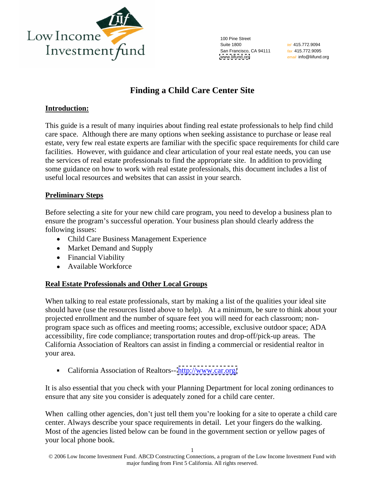

100 Pine Street Suite 1800 **Suite 1800** *tel 415.772.9094* **Suite 1800** San Francisco, CA 94111 fax 415.772.9095 [www.liifund.org](http://www.liifund.org) *email*\_info@liifund.org

tel 415.772.9094 fax 415.772.9095 email info@liifund.org

# **Finding a Child Care Center Site**

### **Introduction:**

This guide is a result of many inquiries about finding real estate professionals to help find child care space. Although there are many options when seeking assistance to purchase or lease real estate, very few real estate experts are familiar with the specific space requirements for child care facilities. However, with guidance and clear articulation of your real estate needs, you can use the services of real estate professionals to find the appropriate site. In addition to providing some guidance on how to work with real estate professionals, this document includes a list of useful local resources and websites that can assist in your search.

### **Preliminary Steps**

Before selecting a site for your new child care program, you need to develop a business plan to ensure the program's successful operation. Your business plan should clearly address the following issues:

- Child Care Business Management Experience
- Market Demand and Supply
- Financial Viability
- Available Workforce

## **Real Estate Professionals and Other Local Groups**

When talking to real estate professionals, start by making a list of the qualities your ideal site should have (use the resources listed above to help). At a minimum, be sure to think about your projected enrollment and the number of square feet you will need for each classroom; non program space such as offices and meeting rooms; accessible, exclusive outdoor space; ADA accessibility, fire code compliance; transportation routes and drop-off/pick-up areas. The California Association of Realtors can assist in finding a commercial or residential realtor in your area.

California Association of Realtors-- <http://www.car.org/>  $\blacksquare$ 

It is also essential that you check with your Planning Department for local zoning ordinances to ensure that any site you consider is adequately zoned for a child care center.

When calling other agencies, don't just tell them you're looking for a site to operate a child care center. Always describe your space requirements in detail. Let your fingers do the walking. Most of the agencies listed below can be found in the government section or yellow pages of your local phone book.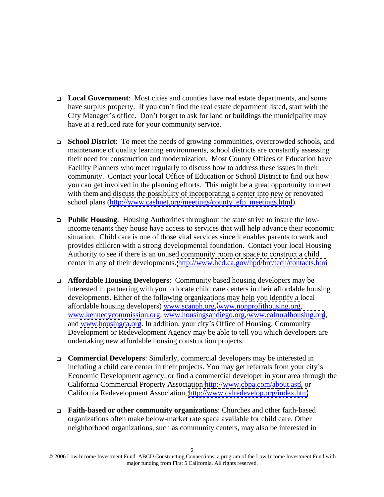- **Local Government**: Most cities and counties have real estate departments, and some have surplus property. If you can't find the real estate department listed, start with the City Manager's office. Don't forget to ask for land or buildings the municipality may have at a reduced rate for your community service.
- **School District**: To meet the needs of growing communities, overcrowded schools, and maintenance of quality learning environments, school districts are constantly assessing their need for construction and modernization. Most County Offices of Education have Facility Planners who meet regularly to discuss how to address these issues in their community. Contact your local Office of Education or School District to find out how you can get involved in the planning efforts. This might be a great opportunity to meet with them and discuss the possibility of incorporating a center into new or renovated school plans [\(http://www.cashnet.org/meetings/county\\_efp\\_meetings.html](http://www.cashnet.org/meetings/county_efp_meetings.html)).
- **Public Housing**: Housing Authorities throughout the state strive to insure the lowincome tenants they house have access to services that will help advance their economic situation. Child care is one of those vital services since it enables parents to work and provides children with a strong developmental foundation. Contact your local Housing Authority to see if there is an unused community room or space to construct a child center in any of their developments.<http://www.hcd.ca.gov/hpd/hrc/tech/contacts.htm>
- **Affordable Housing Developers**: Community based housing developers may be interested in partnering with you to locate child care centers in their affordable housing developments. Either of the following organizations may help you identify a local affordable housing developers) [www.scanph.org](http://www.scanph.org), [www.nonprofithousing.org](http://www.nonprofithousing.org),<br>www.kennedycommission.org, [www.housingsandiego.org](http://www.housingsandiego.org), [www.calruralhousing.org](http://www.calruralhousing.org),<br>and [www.housingca.org](http://www.housingca.org). In addition, your city's Office of Housing, Commu Development or Redevelopment Agency may be able to tell you which developers are undertaking new affordable housing construction projects.
- **Commercial Developers**: Similarly, commercial developers may be interested in including a child care center in their projects. You may get referrals from your city's Economic Development agency, or find a commercial developer in your area through the California Commercial Property Association<http://www.cbpa.com/about.asp>, or California Redevelopment Association,<http://www.calredevelop.org/index.htm>
- **Faith-based or other community organizations**: Churches and other faith-based organizations often make below-market rate space available for child care. Other neighborhood organizations, such as community centers, may also be interested in